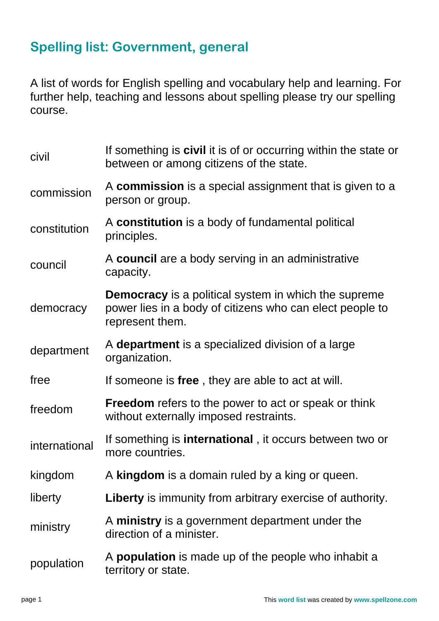## **Spelling list: Government, general**

A list of words for English spelling and vocabulary help and learning. For further help, teaching and lessons about spelling please try our spelling course.

| civil         | If something is <b>civil</b> it is of or occurring within the state or<br>between or among citizens of the state.                          |
|---------------|--------------------------------------------------------------------------------------------------------------------------------------------|
| commission    | A commission is a special assignment that is given to a<br>person or group.                                                                |
| constitution  | A constitution is a body of fundamental political<br>principles.                                                                           |
| council       | A council are a body serving in an administrative<br>capacity.                                                                             |
| democracy     | <b>Democracy</b> is a political system in which the supreme<br>power lies in a body of citizens who can elect people to<br>represent them. |
| department    | A department is a specialized division of a large<br>organization.                                                                         |
| free          | If someone is free, they are able to act at will.                                                                                          |
| freedom       | <b>Freedom</b> refers to the power to act or speak or think<br>without externally imposed restraints.                                      |
| international | If something is <b>international</b> , it occurs between two or<br>more countries.                                                         |
| kingdom       | A kingdom is a domain ruled by a king or queen.                                                                                            |
| liberty       | <b>Liberty</b> is immunity from arbitrary exercise of authority.                                                                           |
| ministry      | A ministry is a government department under the<br>direction of a minister.                                                                |
| population    | A <b>population</b> is made up of the people who inhabit a<br>territory or state.                                                          |